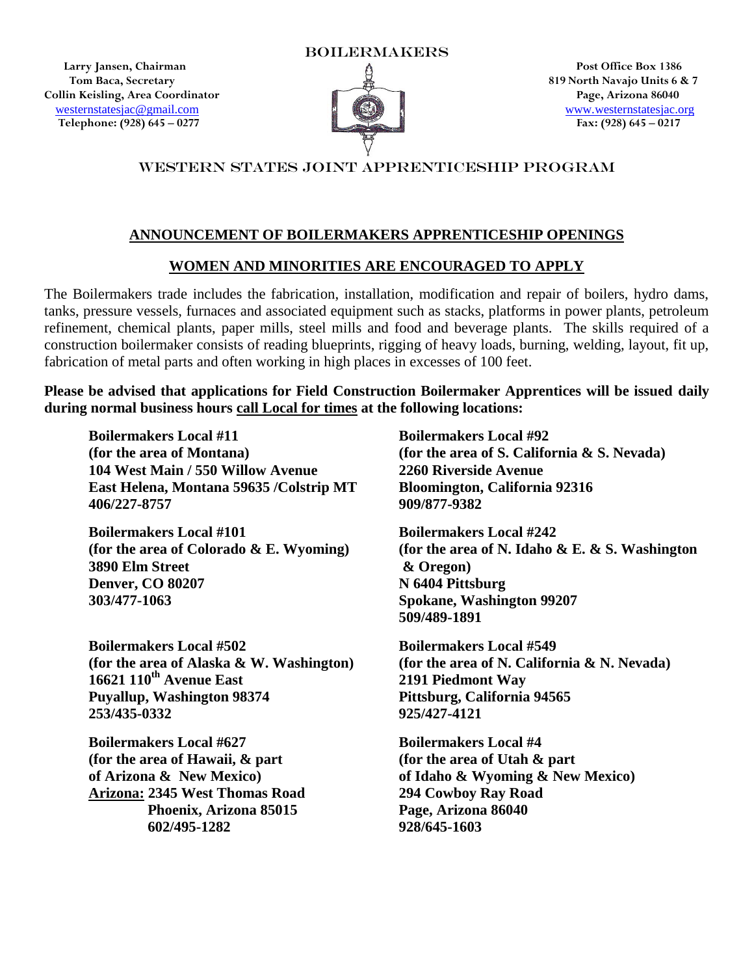**Larry Jansen, Chairman Post Office Box 1386 Tom Baca, Secretary 2.2 and 2.3 and 2.4 and 3.4 and 3.4 and 3.4 and 3.6 and 3.6 and 3.6 and 3.6 and 3.6 and 3.6 and 3.6 and 3.7 and 3.6 and 3.7 and 3.6 and 3.7 and 3.6 and 3.7 and 3.7 and 3.7 and 3.7 and 3.7 and 3.7 and Collin Keisling, Area Coordinator Page, Arizona 86040 Example 1988** [www.westernstatesjac.org](http://www.westernstatesjac.org/)<br> **Example 1998)** 645 – 0277 **Example 1998)** 645 – 0277 **Example 1998)** 645 – 0217  **Telephone: (928) 645 – 0277 Fax: (928) 645 – 0217**



# WESTERN STATES JOINT APPRENTICESHIP PROGRAM

## **ANNOUNCEMENT OF BOILERMAKERS APPRENTICESHIP OPENINGS**

#### **WOMEN AND MINORITIES ARE ENCOURAGED TO APPLY**

The Boilermakers trade includes the fabrication, installation, modification and repair of boilers, hydro dams, tanks, pressure vessels, furnaces and associated equipment such as stacks, platforms in power plants, petroleum refinement, chemical plants, paper mills, steel mills and food and beverage plants. The skills required of a construction boilermaker consists of reading blueprints, rigging of heavy loads, burning, welding, layout, fit up, fabrication of metal parts and often working in high places in excesses of 100 feet.

**Please be advised that applications for Field Construction Boilermaker Apprentices will be issued daily during normal business hours call Local for times at the following locations:** 

**Boilermakers Local #11** Boilermakers Local #92 **(for the area of Montana) (for the area of S. California & S. Nevada) 104 West Main / 550 Willow Avenue 2260 Riverside Avenue East Helena, Montana 59635 /Colstrip MT Bloomington, California 92316 406/227-8757 909/877-9382**

**Boilermakers Local #101 Boilermakers Local #242 3890 Elm Street & Oregon) Denver, CO 80207** N 6404 Pittsburg **303/477-1063 Spokane, Washington 99207** 

**Boilermakers Local #502 Boilermakers Local #549 16621 110th Avenue East 2191 Piedmont Way Puyallup, Washington 98374 Pittsburg, California 94565 253/435-0332 925/427-4121**

**Boilermakers Local #627 Boilermakers Local #4 (for the area of Hawaii, & part (for the area of Utah & part Arizona: 2345 West Thomas Road 294 Cowboy Ray Road Phoenix, Arizona 85015 Page, Arizona 86040 602/495-1282 928/645-1603**

**(for the area of Colorado & E. Wyoming) (for the area of N. Idaho & E. & S. Washington 509/489-1891** 

**(for the area of Alaska & W. Washington) (for the area of N. California & N. Nevada)** 

**of Arizona & New Mexico) of Idaho & Wyoming & New Mexico)**